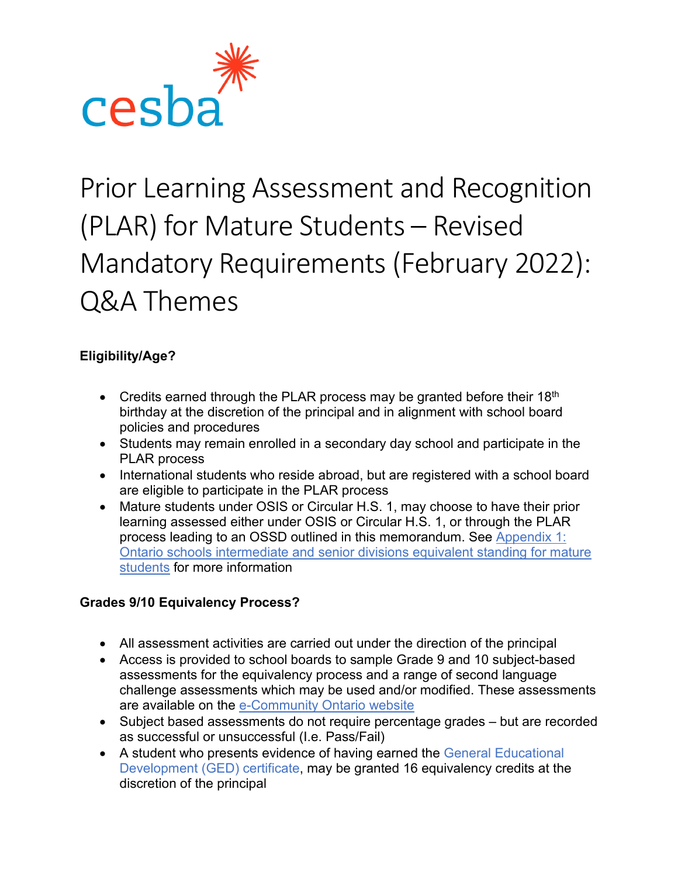

Prior Learning Assessment and Recognition (PLAR) for Mature Students – Revised Mandatory Requirements (February 2022): Q&A Themes

# **Eligibility/Age?**

- Credits earned through the PLAR process may be granted before their  $18<sup>th</sup>$ birthday at the discretion of the principal and in alignment with school board policies and procedures
- Students may remain enrolled in a secondary day school and participate in the PLAR process
- International students who reside abroad, but are registered with a school board are eligible to participate in the PLAR process
- Mature students under OSIS or Circular H.S. 1, may choose to have their prior learning assessed either under OSIS or Circular H.S. 1, or through the PLAR process leading to an OSSD outlined in this memorandum. See [Appendix 1:](https://www.ontario.ca/document/education-ontario-policy-and-program-direction/policyprogram-memorandum-132#section-9)  [Ontario schools intermediate and senior divisions equivalent standing for mature](https://www.ontario.ca/document/education-ontario-policy-and-program-direction/policyprogram-memorandum-132#section-9)  [students](https://www.ontario.ca/document/education-ontario-policy-and-program-direction/policyprogram-memorandum-132#section-9) for more information

# **Grades 9/10 Equivalency Process?**

- All assessment activities are carried out under the direction of the principal
- Access is provided to school boards to sample Grade 9 and 10 subject-based assessments for the equivalency process and a range of second language challenge assessments which may be used and/or modified. These assessments are available on the [e-Community Ontario website](https://community.elearningontario.ca/)
- Subject based assessments do not require percentage grades but are recorded as successful or unsuccessful (I.e. Pass/Fail)
- A student who presents evidence of having earned the General Educational Development (GED) certificate, may be granted 16 equivalency credits at the discretion of the principal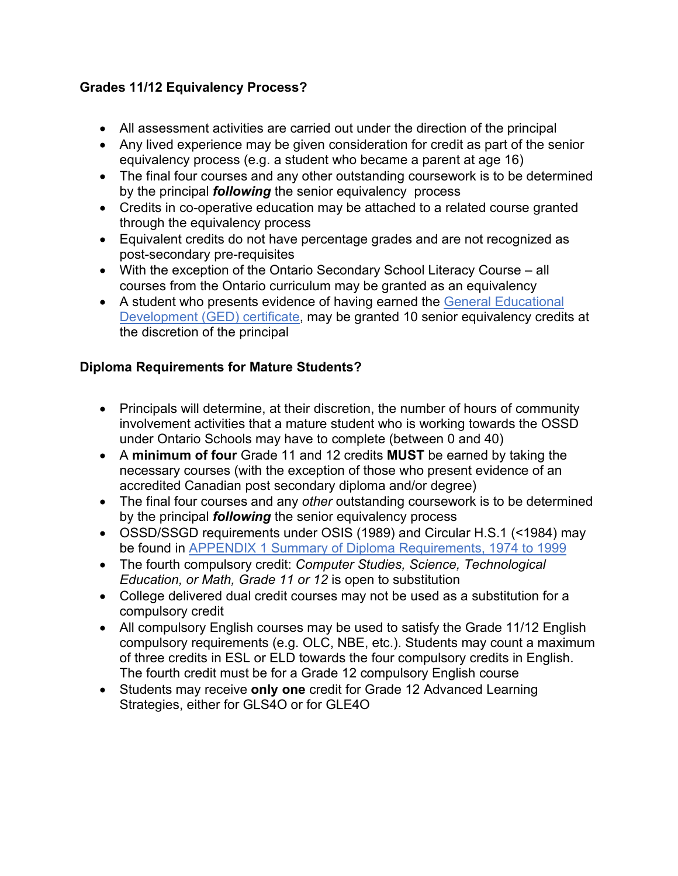## **Grades 11/12 Equivalency Process?**

- All assessment activities are carried out under the direction of the principal
- Any lived experience may be given consideration for credit as part of the senior equivalency process (e.g. a student who became a parent at age 16)
- The final four courses and any other outstanding coursework is to be determined by the principal *following* the senior equivalency process
- Credits in co-operative education may be attached to a related course granted through the equivalency process
- Equivalent credits do not have percentage grades and are not recognized as post-secondary pre-requisites
- With the exception of the Ontario Secondary School Literacy Course all courses from the Ontario curriculum may be granted as an equivalency
- A student who presents evidence of having earned the General Educational [Development \(GED\) certificate,](https://ged.ilc.org/en-ca/GED/home) may be granted 10 senior equivalency credits at the discretion of the principal

#### **Diploma Requirements for Mature Students?**

- Principals will determine, at their discretion, the number of hours of community involvement activities that a mature student who is working towards the OSSD under Ontario Schools may have to complete (between 0 and 40)
- A **minimum of four** Grade 11 and 12 credits **MUST** be earned by taking the necessary courses (with the exception of those who present evidence of an accredited Canadian post secondary diploma and/or degree)
- The final four courses and any *other* outstanding coursework is to be determined by the principal *following* the senior equivalency process
- OSSD/SSGD requirements under OSIS (1989) and Circular H.S.1 (<1984) may be found in [APPENDIX 1 Summary of Diploma Requirements, 1974 to 1999](https://www.edu.gov.on.ca/eng/document/policy/os/onschools_2016e.pdf#page=97)
- The fourth compulsory credit: *Computer Studies, Science, Technological Education, or Math, Grade 11 or 12* is open to substitution
- College delivered dual credit courses may not be used as a substitution for a compulsory credit
- All compulsory English courses may be used to satisfy the Grade 11/12 English compulsory requirements (e.g. OLC, NBE, etc.). Students may count a maximum of three credits in ESL or ELD towards the four compulsory credits in English. The fourth credit must be for a Grade 12 compulsory English course
- Students may receive **only one** credit for Grade 12 Advanced Learning Strategies, either for GLS4O or for GLE4O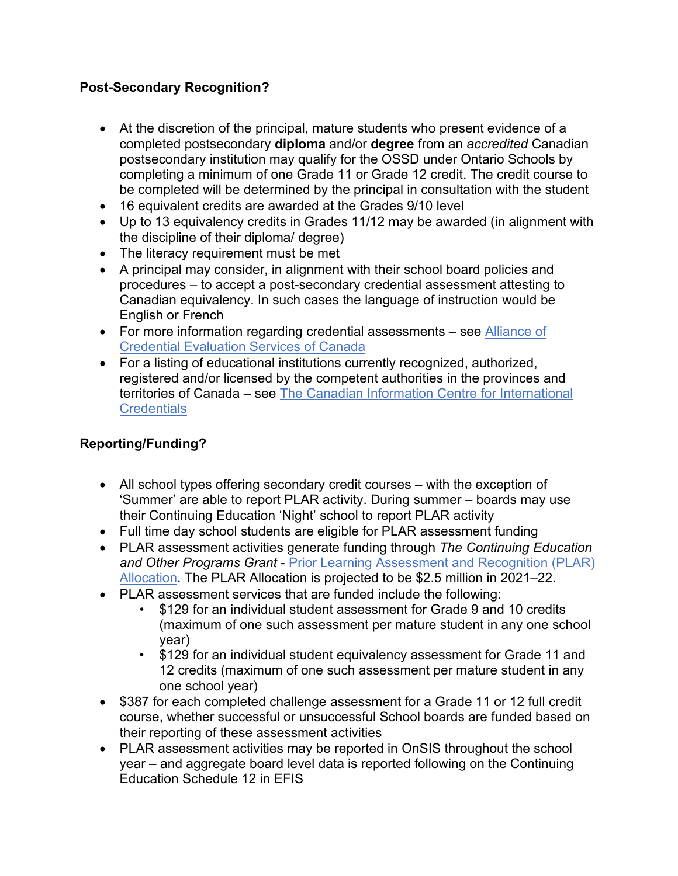#### **Post-Secondary Recognition?**

- At the discretion of the principal, mature students who present evidence of a completed postsecondary **diploma** and/or **degree** from an *accredited* Canadian postsecondary institution may qualify for the OSSD under Ontario Schools by completing a minimum of one Grade 11 or Grade 12 credit. The credit course to be completed will be determined by the principal in consultation with the student
- 16 equivalent credits are awarded at the Grades 9/10 level
- Up to 13 equivalency credits in Grades 11/12 may be awarded (in alignment with the discipline of their diploma/ degree)
- The literacy requirement must be met
- A principal may consider, in alignment with their school board policies and procedures – to accept a post-secondary credential assessment attesting to Canadian equivalency. In such cases the language of instruction would be English or French
- For more information regarding credential assessments see Alliance of [Credential Evaluation Services of Canada](https://canalliance.org/en/)
- For a listing of educational institutions currently recognized, authorized, registered and/or licensed by the competent authorities in the provinces and territories of Canada – see [The Canadian Information Centre for International](https://ontariogov-my.sharepoint.com/personal/daniel_denomme_ontario_ca/Documents/Desktop/%E2%80%A2%09https:/www.cicic.ca/868/search_the_directory_of_educational_institutions_in_canada.canada)  **[Credentials](https://ontariogov-my.sharepoint.com/personal/daniel_denomme_ontario_ca/Documents/Desktop/%E2%80%A2%09https:/www.cicic.ca/868/search_the_directory_of_educational_institutions_in_canada.canada)**

## **Reporting/Funding?**

- All school types offering secondary credit courses with the exception of 'Summer' are able to report PLAR activity. During summer – boards may use their Continuing Education 'Night' school to report PLAR activity
- Full time day school students are eligible for PLAR assessment funding
- PLAR assessment activities generate funding through *The Continuing Education and Other Programs Grant* - [Prior Learning Assessment and Recognition \(PLAR\)](http://edu.gov.on.ca/eng/funding/2122/2021-22-technical-paper.pdf#page=93) [Allocation.](http://edu.gov.on.ca/eng/funding/2122/2021-22-technical-paper.pdf#page=93) The PLAR Allocation is projected to be \$2.5 million in 2021–22.
- PLAR assessment services that are funded include the following:
	- \$129 for an individual student assessment for Grade 9 and 10 credits (maximum of one such assessment per mature student in any one school year)
	- \$129 for an individual student equivalency assessment for Grade 11 and 12 credits (maximum of one such assessment per mature student in any one school year)
- \$387 for each completed challenge assessment for a Grade 11 or 12 full credit course, whether successful or unsuccessful School boards are funded based on their reporting of these assessment activities
- PLAR assessment activities may be reported in OnSIS throughout the school year – and aggregate board level data is reported following on the Continuing Education Schedule 12 in EFIS